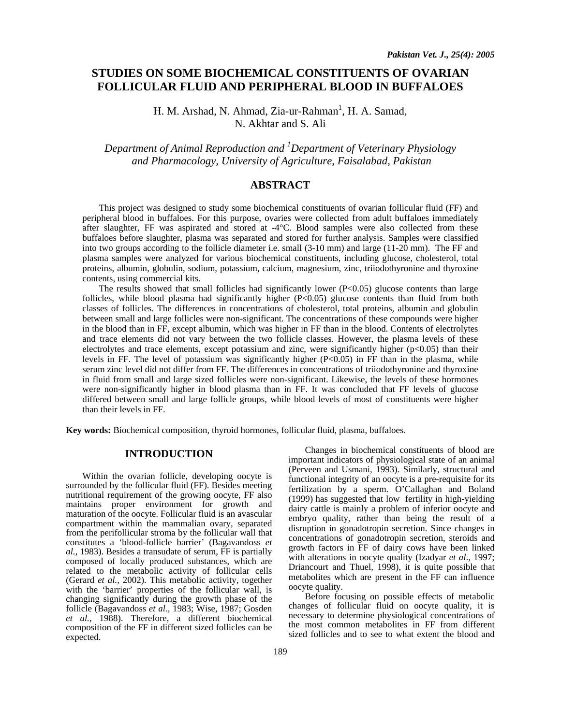# **STUDIES ON SOME BIOCHEMICAL CONSTITUENTS OF OVARIAN FOLLICULAR FLUID AND PERIPHERAL BLOOD IN BUFFALOES**

H. M. Arshad, N. Ahmad, Zia-ur-Rahman<sup>1</sup>, H. A. Samad, N. Akhtar and S. Ali

*Department of Animal Reproduction and 1 Department of Veterinary Physiology and Pharmacology, University of Agriculture, Faisalabad, Pakistan* 

## **ABSTRACT**

This project was designed to study some biochemical constituents of ovarian follicular fluid (FF) and peripheral blood in buffaloes. For this purpose, ovaries were collected from adult buffaloes immediately after slaughter, FF was aspirated and stored at -4°C. Blood samples were also collected from these buffaloes before slaughter, plasma was separated and stored for further analysis. Samples were classified into two groups according to the follicle diameter i.e. small (3-10 mm) and large (11-20 mm). The FF and plasma samples were analyzed for various biochemical constituents, including glucose, cholesterol, total proteins, albumin, globulin, sodium, potassium, calcium, magnesium, zinc, triiodothyronine and thyroxine contents, using commercial kits.

The results showed that small follicles had significantly lower (P<0.05) glucose contents than large follicles, while blood plasma had significantly higher  $(P<0.05)$  glucose contents than fluid from both classes of follicles. The differences in concentrations of cholesterol, total proteins, albumin and globulin between small and large follicles were non-significant. The concentrations of these compounds were higher in the blood than in FF, except albumin, which was higher in FF than in the blood. Contents of electrolytes and trace elements did not vary between the two follicle classes. However, the plasma levels of these electrolytes and trace elements, except potassium and zinc, were significantly higher (p<0.05) than their levels in FF. The level of potassium was significantly higher (P<0.05) in FF than in the plasma, while serum zinc level did not differ from FF. The differences in concentrations of triiodothyronine and thyroxine in fluid from small and large sized follicles were non-significant. Likewise, the levels of these hormones were non-significantly higher in blood plasma than in FF. It was concluded that FF levels of glucose differed between small and large follicle groups, while blood levels of most of constituents were higher than their levels in FF.

**Key words:** Biochemical composition, thyroid hormones, follicular fluid, plasma, buffaloes.

# **INTRODUCTION**

Within the ovarian follicle, developing oocyte is surrounded by the follicular fluid (FF). Besides meeting nutritional requirement of the growing oocyte, FF also maintains proper environment for growth and maturation of the oocyte. Follicular fluid is an avascular compartment within the mammalian ovary, separated from the perifollicular stroma by the follicular wall that constitutes a 'blood-follicle barrier' (Bagavandoss *et al.*, 1983). Besides a transudate of serum, FF is partially composed of locally produced substances, which are related to the metabolic activity of follicular cells (Gerard *et al.*, 2002). This metabolic activity, together with the 'barrier' properties of the follicular wall, is changing significantly during the growth phase of the follicle (Bagavandoss et al., 1983; Wise, 1987; Gosden *et al.*, 1988). Therefore, a different biochemical composition of the FF in different sized follicles can be expected.

Changes in biochemical constituents of blood are important indicators of physiological state of an animal (Perveen and Usmani, 1993). Similarly, structural and functional integrity of an oocyte is a pre-requisite for its fertilization by a sperm. O'Callaghan and Boland (1999) has suggested that low fertility in high-yielding dairy cattle is mainly a problem of inferior oocyte and embryo quality, rather than being the result of a disruption in gonadotropin secretion. Since changes in concentrations of gonadotropin secretion, steroids and growth factors in FF of dairy cows have been linked with alterations in oocyte quality (Izadyar *et al*., 1997; Driancourt and Thuel, 1998), it is quite possible that metabolites which are present in the FF can influence oocyte quality.

Before focusing on possible effects of metabolic changes of follicular fluid on oocyte quality, it is necessary to determine physiological concentrations of the most common metabolites in FF from different sized follicles and to see to what extent the blood and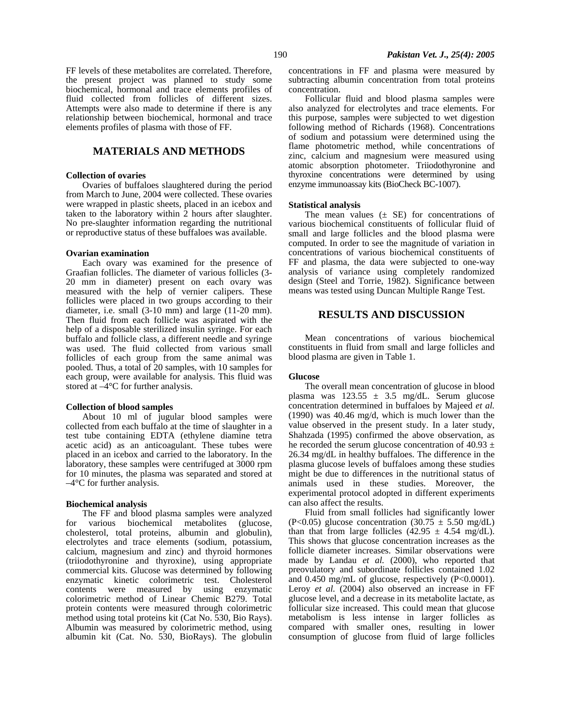FF levels of these metabolites are correlated. Therefore, the present project was planned to study some biochemical, hormonal and trace elements profiles of fluid collected from follicles of different sizes. Attempts were also made to determine if there is any relationship between biochemical, hormonal and trace elements profiles of plasma with those of FF.

# **MATERIALS AND METHODS**

#### **Collection of ovaries**

Ovaries of buffaloes slaughtered during the period from March to June, 2004 were collected. These ovaries were wrapped in plastic sheets, placed in an icebox and taken to the laboratory within 2 hours after slaughter. No pre-slaughter information regarding the nutritional or reproductive status of these buffaloes was available.

### **Ovarian examination**

Each ovary was examined for the presence of Graafian follicles. The diameter of various follicles (3- 20 mm in diameter) present on each ovary was measured with the help of vernier calipers. These follicles were placed in two groups according to their diameter, i.e. small (3-10 mm) and large (11-20 mm). Then fluid from each follicle was aspirated with the help of a disposable sterilized insulin syringe. For each buffalo and follicle class, a different needle and syringe was used. The fluid collected from various small follicles of each group from the same animal was pooled. Thus, a total of 20 samples, with 10 samples for each group, were available for analysis. This fluid was stored at –4°C for further analysis.

### **Collection of blood samples**

About 10 ml of jugular blood samples were collected from each buffalo at the time of slaughter in a test tube containing EDTA (ethylene diamine tetra acetic acid) as an anticoagulant. These tubes were placed in an icebox and carried to the laboratory. In the laboratory, these samples were centrifuged at 3000 rpm for 10 minutes, the plasma was separated and stored at  $-4$ °C for further analysis.

#### **Biochemical analysis**

The FF and blood plasma samples were analyzed<br>various biochemical metabolites (glucose, for various biochemical metabolites cholesterol, total proteins, albumin and globulin), electrolytes and trace elements (sodium, potassium, calcium, magnesium and zinc) and thyroid hormones (triiodothyronine and thyroxine), using appropriate commercial kits. Glucose was determined by following enzymatic kinetic colorimetric test. Cholesterol contents were measured by using enzymatic colorimetric method of Linear Chemic B279. Total protein contents were measured through colorimetric method using total proteins kit (Cat No. 530, Bio Rays). Albumin was measured by colorimetric method, using albumin kit (Cat. No. 530, BioRays). The globulin

concentrations in FF and plasma were measured by subtracting albumin concentration from total proteins concentration.

Follicular fluid and blood plasma samples were also analyzed for electrolytes and trace elements. For this purpose, samples were subjected to wet digestion following method of Richards (1968). Concentrations of sodium and potassium were determined using the flame photometric method, while concentrations of zinc, calcium and magnesium were measured using atomic absorption photometer. Triiodothyronine and thyroxine concentrations were determined by using enzyme immunoassay kits (BioCheck BC-1007).

### **Statistical analysis**

The mean values  $(\pm \text{ SE})$  for concentrations of various biochemical constituents of follicular fluid of small and large follicles and the blood plasma were computed. In order to see the magnitude of variation in concentrations of various biochemical constituents of FF and plasma, the data were subjected to one-way analysis of variance using completely randomized design (Steel and Torrie, 1982). Significance between means was tested using Duncan Multiple Range Test.

# **RESULTS AND DISCUSSION**

Mean concentrations of various biochemical constituents in fluid from small and large follicles and blood plasma are given in Table 1.

### **Glucose**

The overall mean concentration of glucose in blood plasma was  $123.55 \pm 3.5$  mg/dL. Serum glucose concentration determined in buffaloes by Majeed *et al.* (1990) was 40.46 mg/d, which is much lower than the value observed in the present study. In a later study, Shahzada (1995) confirmed the above observation, as he recorded the serum glucose concentration of  $40.93 \pm$ 26.34 mg/dL in healthy buffaloes. The difference in the plasma glucose levels of buffaloes among these studies might be due to differences in the nutritional status of animals used in these studies. Moreover, the experimental protocol adopted in different experiments can also affect the results.

Fluid from small follicles had significantly lower (P<0.05) glucose concentration (30.75  $\pm$  5.50 mg/dL) than that from large follicles  $(42.95 \pm 4.54 \text{ mg/dL})$ . This shows that glucose concentration increases as the follicle diameter increases. Similar observations were made by Landau *et al.* (2000), who reported that preovulatory and subordinate follicles contained 1.02 and 0.450 mg/mL of glucose, respectively (P<0.0001). Leroy *et al.* (2004) also observed an increase in FF glucose level, and a decrease in its metabolite lactate, as follicular size increased. This could mean that glucose metabolism is less intense in larger follicles as compared with smaller ones, resulting in lower consumption of glucose from fluid of large follicles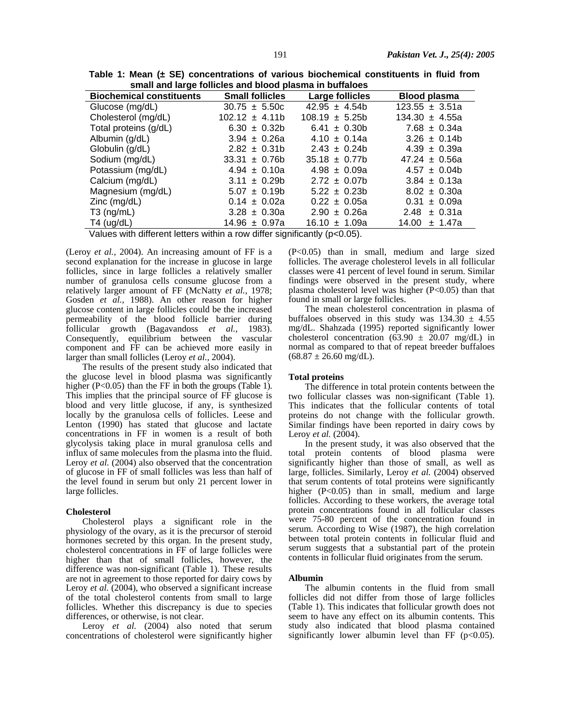**Table 1: Mean (± SE) concentrations of various biochemical constituents in fluid from small and large follicles and blood plasma in buffaloes** 

| <u>UNIVERSITY IN STRAND WILL BILLY BILLION IN BUILDING</u> |                        |                    |                     |
|------------------------------------------------------------|------------------------|--------------------|---------------------|
| <b>Biochemical constituents</b>                            | <b>Small follicles</b> | Large follicles    | <b>Blood plasma</b> |
| Glucose (mg/dL)                                            | $30.75 \pm 5.50c$      | $42.95 \pm 4.54b$  | $123.55 \pm 3.51a$  |
| Cholesterol (mg/dL)                                        | $102.12 \pm 4.11b$     | $108.19 \pm 5.25b$ | $134.30 \pm 4.55a$  |
| Total proteins (g/dL)                                      | $6.30 \pm 0.32b$       | $6.41 \pm 0.30b$   | $7.68 \pm 0.34a$    |
| Albumin (g/dL)                                             | $3.94 \pm 0.26a$       | $4.10 \pm 0.14a$   | $3.26 \pm 0.14b$    |
| Globulin (g/dL)                                            | $2.82 \pm 0.31$        | $2.43 \pm 0.24b$   | $4.39 \pm 0.39a$    |
| Sodium (mg/dL)                                             | $33.31 \pm 0.76b$      | $35.18 \pm 0.77b$  | $47.24 \pm 0.56a$   |
| Potassium (mg/dL)                                          | $4.94 \pm 0.10a$       | $4.98 \pm 0.09a$   | $4.57 \pm 0.04b$    |
| Calcium (mg/dL)                                            | $3.11 \pm 0.29b$       | $2.72 \pm 0.07$    | $3.84 \pm 0.13a$    |
| Magnesium (mg/dL)                                          | $5.07 \pm 0.19b$       | $5.22 \pm 0.23b$   | $8.02 \pm 0.30a$    |
| $Zinc$ (mg/dL)                                             | $0.14 \pm 0.02a$       | $0.22 \pm 0.05a$   | $0.31 \pm 0.09a$    |
| $T3$ (ng/mL)                                               | $3.28 \pm 0.30a$       | $2.90 \pm 0.26a$   | $2.48 \pm 0.31a$    |
| $T4$ (ug/dL)                                               | $14.96 \pm 0.97a$      | $16.10 \pm 1.09a$  | $14.00 \pm 1.47a$   |
| .<br>.                                                     | .                      |                    |                     |

Values with different letters within a row differ significantly (p<0.05).

(Leroy *et al.,* 2004). An increasing amount of FF is a second explanation for the increase in glucose in large follicles, since in large follicles a relatively smaller number of granulosa cells consume glucose from a relatively larger amount of FF (McNatty *et al.,* 1978; Gosden *et al.,* 1988). An other reason for higher glucose content in large follicles could be the increased permeability of the blood follicle barrier during follicular growth (Bagavandoss *et al.,* 1983). Consequently, equilibrium between the vascular component and FF can be achieved more easily in larger than small follicles (Leroy *et al.,* 2004).

The results of the present study also indicated that the glucose level in blood plasma was significantly higher (P<0.05) than the FF in both the groups (Table 1). This implies that the principal source of FF glucose is blood and very little glucose, if any, is synthesized locally by the granulosa cells of follicles. Leese and Lenton (1990) has stated that glucose and lactate concentrations in FF in women is a result of both glycolysis taking place in mural granulosa cells and influx of same molecules from the plasma into the fluid. Leroy *et al.* (2004) also observed that the concentration of glucose in FF of small follicles was less than half of the level found in serum but only 21 percent lower in large follicles.

### **Cholesterol**

Cholesterol plays a significant role in the physiology of the ovary, as it is the precursor of steroid hormones secreted by this organ. In the present study, cholesterol concentrations in FF of large follicles were higher than that of small follicles, however, the difference was non-significant (Table 1). These results are not in agreement to those reported for dairy cows by Leroy *et al.* (2004), who observed a significant increase of the total cholesterol contents from small to large follicles. Whether this discrepancy is due to species differences, or otherwise, is not clear.

Leroy *et al.* (2004) also noted that serum concentrations of cholesterol were significantly higher (P<0.05) than in small, medium and large sized follicles. The average cholesterol levels in all follicular classes were 41 percent of level found in serum. Similar findings were observed in the present study, where plasma cholesterol level was higher  $(P<0.05)$  than that found in small or large follicles.

The mean cholesterol concentration in plasma of buffaloes observed in this study was  $134.30 \pm 4.55$ mg/dL. Shahzada (1995) reported significantly lower cholesterol concentration (63.90  $\pm$  20.07 mg/dL) in normal as compared to that of repeat breeder buffaloes  $(68.87 \pm 26.60 \text{ mg/dL}).$ 

### **Total proteins**

The difference in total protein contents between the two follicular classes was non-significant (Table 1). This indicates that the follicular contents of total proteins do not change with the follicular growth. Similar findings have been reported in dairy cows by Leroy *et al.* (2004).

In the present study, it was also observed that the total protein contents of blood plasma were significantly higher than those of small, as well as large, follicles. Similarly, Leroy *et al.* (2004) observed that serum contents of total proteins were significantly higher (P<0.05) than in small, medium and large follicles. According to these workers, the average total protein concentrations found in all follicular classes were 75-80 percent of the concentration found in serum. According to Wise (1987), the high correlation between total protein contents in follicular fluid and serum suggests that a substantial part of the protein contents in follicular fluid originates from the serum.

### **Albumin**

The albumin contents in the fluid from small follicles did not differ from those of large follicles (Table 1). This indicates that follicular growth does not seem to have any effect on its albumin contents. This study also indicated that blood plasma contained significantly lower albumin level than FF  $(p<0.05)$ .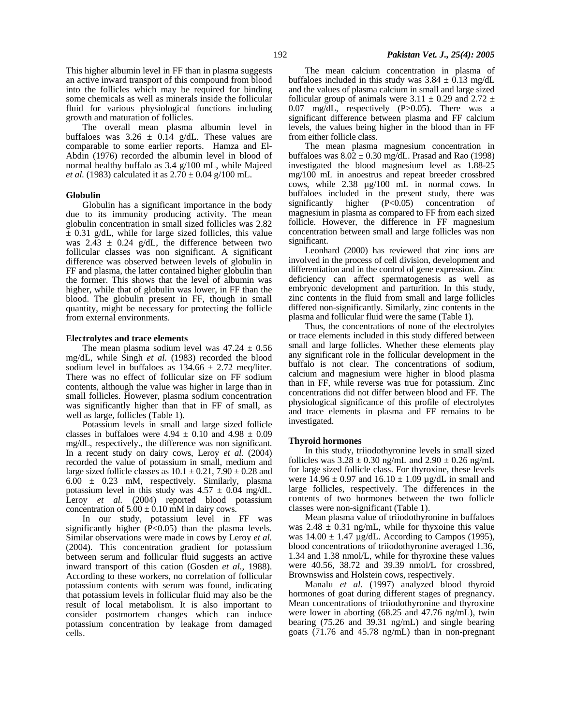This higher albumin level in FF than in plasma suggests an active inward transport of this compound from blood into the follicles which may be required for binding some chemicals as well as minerals inside the follicular fluid for various physiological functions including growth and maturation of follicles.

The overall mean plasma albumin level in buffaloes was  $3.26 \pm 0.14$  g/dL. These values are comparable to some earlier reports. Hamza and El-Abdin (1976) recorded the albumin level in blood of normal healthy buffalo as 3.4 g/100 mL, while Majeed *et al.* (1983) calculated it as  $2.70 \pm 0.04$  g/100 mL.

### **Globulin**

Globulin has a significant importance in the body due to its immunity producing activity. The mean globulin concentration in small sized follicles was 2.82  $\pm$  0.31 g/dL, while for large sized follicles, this value was  $2.43 \pm 0.24$  g/dL, the difference between two follicular classes was non significant. A significant difference was observed between levels of globulin in FF and plasma, the latter contained higher globulin than the former. This shows that the level of albumin was higher, while that of globulin was lower, in FF than the blood. The globulin present in FF, though in small quantity, might be necessary for protecting the follicle from external environments.

### **Electrolytes and trace elements**

The mean plasma sodium level was  $47.24 \pm 0.56$ mg/dL, while Singh *et al.* (1983) recorded the blood sodium level in buffaloes as  $134.66 \pm 2.72$  meq/liter. There was no effect of follicular size on FF sodium contents, although the value was higher in large than in small follicles. However, plasma sodium concentration was significantly higher than that in FF of small, as well as large, follicles (Table 1).

Potassium levels in small and large sized follicle classes in buffaloes were  $4.94 \pm 0.10$  and  $4.98 \pm 0.09$ mg/dL, respectively., the difference was non significant. In a recent study on dairy cows, Leroy *et al.* (2004) recorded the value of potassium in small, medium and large sized follicle classes as  $10.1 \pm 0.21$ ,  $7.90 \pm 0.28$  and  $6.00 \pm 0.23$  mM, respectively. Similarly, plasma potassium level in this study was  $4.57 \pm 0.04$  mg/dL. Leroy *et al.* (2004) reported blood potassium concentration of  $5.00 \pm 0.10$  mM in dairy cows.

In our study, potassium level in FF was significantly higher (P<0.05) than the plasma levels. Similar observations were made in cows by Leroy *et al.* (2004). This concentration gradient for potassium between serum and follicular fluid suggests an active inward transport of this cation (Gosden *et al.*, 1988). According to these workers, no correlation of follicular potassium contents with serum was found, indicating that potassium levels in follicular fluid may also be the result of local metabolism. It is also important to consider postmortem changes which can induce potassium concentration by leakage from damaged cells.

The mean calcium concentration in plasma of buffaloes included in this study was  $3.84 \pm 0.13$  mg/dL and the values of plasma calcium in small and large sized follicular group of animals were  $3.11 \pm 0.29$  and  $2.72 \pm 1.5$ 0.07 mg/dL, respectively (P>0.05). There was a significant difference between plasma and FF calcium levels, the values being higher in the blood than in FF from either follicle class.

The mean plasma magnesium concentration in buffaloes was  $8.02 \pm 0.30$  mg/dL. Prasad and Rao (1998) investigated the blood magnesium level as 1.88-25 mg/100 mL in anoestrus and repeat breeder crossbred cows, while 2.38 µg/100 mL in normal cows. In buffaloes included in the present study, there was significantly higher  $(P< 0.05)$  concentration of significantly higher  $(P<0.05)$  concentration magnesium in plasma as compared to FF from each sized follicle. However, the difference in FF magnesium concentration between small and large follicles was non significant.

Leonhard (2000) has reviewed that zinc ions are involved in the process of cell division, development and differentiation and in the control of gene expression. Zinc deficiency can affect spermatogenesis as well as embryonic development and parturition. In this study, zinc contents in the fluid from small and large follicles differed non-significantly. Similarly, zinc contents in the plasma and follicular fluid were the same (Table 1).

Thus, the concentrations of none of the electrolytes or trace elements included in this study differed between small and large follicles. Whether these elements play any significant role in the follicular development in the buffalo is not clear. The concentrations of sodium, calcium and magnesium were higher in blood plasma than in FF, while reverse was true for potassium. Zinc concentrations did not differ between blood and FF. The physiological significance of this profile of electrolytes and trace elements in plasma and FF remains to be investigated.

### **Thyroid hormones**

In this study, triiodothyronine levels in small sized follicles was  $3.28 \pm 0.30$  ng/mL and  $2.90 \pm 0.26$  ng/mL for large sized follicle class. For thyroxine, these levels were  $14.96 \pm 0.97$  and  $16.10 \pm 1.09$  µg/dL in small and large follicles, respectively. The differences in the contents of two hormones between the two follicle classes were non-significant (Table 1).

Mean plasma value of triiodothyronine in buffaloes was  $2.48 \pm 0.31$  ng/mL, while for thyxoine this value was  $14.00 \pm 1.47$  µg/dL. According to Campos (1995), blood concentrations of triiodothyronine averaged 1.36, 1.34 and 1.38 nmol/L, while for thyroxine these values were 40.56, 38.72 and 39.39 nmol/L for crossbred, Brownswiss and Holstein cows, respectively.

Manalu *et al.* (1997) analyzed blood thyroid hormones of goat during different stages of pregnancy. Mean concentrations of triiodothyronine and thyroxine were lower in aborting (68.25 and 47.76 ng/mL), twin bearing (75.26 and 39.31 ng/mL) and single bearing goats (71.76 and 45.78 ng/mL) than in non-pregnant